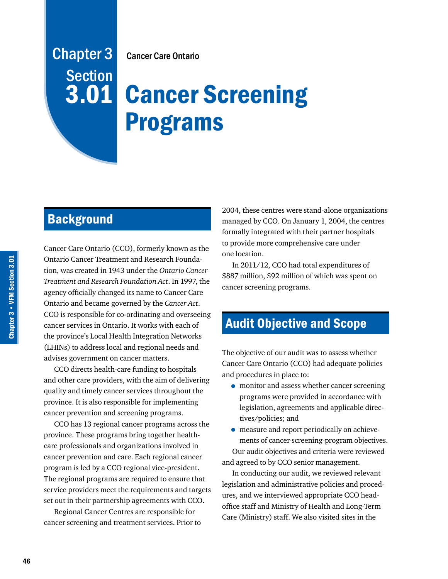# Cancer Care Ontario

# **3.01 Cancer Screening** Programs

# **Background**

Chapter 3

**Section** 

Cancer Care Ontario (CCO), formerly known as the Ontario Cancer Treatment and Research Foundation, was created in 1943 under the *Ontario Cancer Treatment and Research Foundation Act*. In 1997, the agency officially changed its name to Cancer Care Ontario and became governed by the *Cancer Act*. CCO is responsible for co-ordinating and overseeing cancer services in Ontario. It works with each of the province's Local Health Integration Networks (LHINs) to address local and regional needs and advises government on cancer matters.

CCO directs health-care funding to hospitals and other care providers, with the aim of delivering quality and timely cancer services throughout the province. It is also responsible for implementing cancer prevention and screening programs.

CCO has 13 regional cancer programs across the province. These programs bring together healthcare professionals and organizations involved in cancer prevention and care. Each regional cancer program is led by a CCO regional vice-president. The regional programs are required to ensure that service providers meet the requirements and targets set out in their partnership agreements with CCO.

Regional Cancer Centres are responsible for cancer screening and treatment services. Prior to 2004, these centres were stand-alone organizations managed by CCO. On January 1, 2004, the centres formally integrated with their partner hospitals to provide more comprehensive care under one location.

In 2011/12, CCO had total expenditures of \$887 million, \$92 million of which was spent on cancer screening programs.

# Audit Objective and Scope

The objective of our audit was to assess whether Cancer Care Ontario (CCO) had adequate policies and procedures in place to:

- monitor and assess whether cancer screening programs were provided in accordance with legislation, agreements and applicable directives/policies; and
- measure and report periodically on achievements of cancer-screening-program objectives. Our audit objectives and criteria were reviewed and agreed to by CCO senior management.

In conducting our audit, we reviewed relevant legislation and administrative policies and procedures, and we interviewed appropriate CCO headoffice staff and Ministry of Health and Long-Term Care (Ministry) staff. We also visited sites in the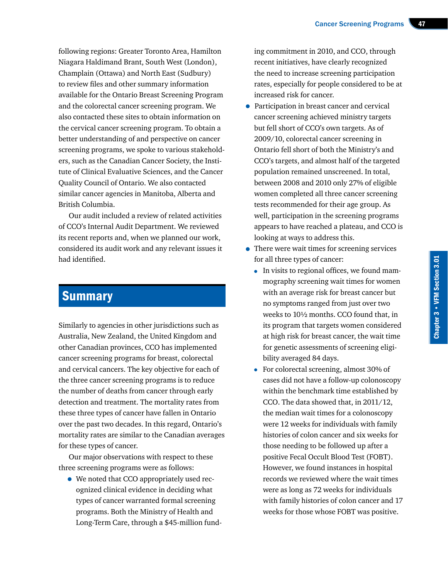following regions: Greater Toronto Area, Hamilton Niagara Haldimand Brant, South West (London), Champlain (Ottawa) and North East (Sudbury) to review files and other summary information available for the Ontario Breast Screening Program and the colorectal cancer screening program. We also contacted these sites to obtain information on the cervical cancer screening program. To obtain a better understanding of and perspective on cancer screening programs, we spoke to various stakeholders, such as the Canadian Cancer Society, the Institute of Clinical Evaluative Sciences, and the Cancer Quality Council of Ontario. We also contacted similar cancer agencies in Manitoba, Alberta and British Columbia.

Our audit included a review of related activities of CCO's Internal Audit Department. We reviewed its recent reports and, when we planned our work, considered its audit work and any relevant issues it had identified.

# **Summary**

Similarly to agencies in other jurisdictions such as Australia, New Zealand, the United Kingdom and other Canadian provinces, CCO has implemented cancer screening programs for breast, colorectal and cervical cancers. The key objective for each of the three cancer screening programs is to reduce the number of deaths from cancer through early detection and treatment. The mortality rates from these three types of cancer have fallen in Ontario over the past two decades. In this regard, Ontario's mortality rates are similar to the Canadian averages for these types of cancer.

Our major observations with respect to these three screening programs were as follows:

• We noted that CCO appropriately used recognized clinical evidence in deciding what types of cancer warranted formal screening programs. Both the Ministry of Health and Long-Term Care, through a \$45-million funding commitment in 2010, and CCO, through recent initiatives, have clearly recognized the need to increase screening participation rates, especially for people considered to be at increased risk for cancer.

- Participation in breast cancer and cervical cancer screening achieved ministry targets but fell short of CCO's own targets. As of 2009/10, colorectal cancer screening in Ontario fell short of both the Ministry's and CCO's targets, and almost half of the targeted population remained unscreened. In total, between 2008 and 2010 only 27% of eligible women completed all three cancer screening tests recommended for their age group. As well, participation in the screening programs appears to have reached a plateau, and CCO is looking at ways to address this.
- There were wait times for screening services for all three types of cancer:
	- In visits to regional offices, we found mammography screening wait times for women with an average risk for breast cancer but no symptoms ranged from just over two weeks to 10½ months. CCO found that, in its program that targets women considered at high risk for breast cancer, the wait time for genetic assessments of screening eligibility averaged 84 days.
	- For colorectal screening, almost 30% of cases did not have a follow-up colonoscopy within the benchmark time established by CCO. The data showed that, in 2011/12, the median wait times for a colonoscopy were 12 weeks for individuals with family histories of colon cancer and six weeks for those needing to be followed up after a positive Fecal Occult Blood Test (FOBT). However, we found instances in hospital records we reviewed where the wait times were as long as 72 weeks for individuals with family histories of colon cancer and 17 weeks for those whose FOBT was positive.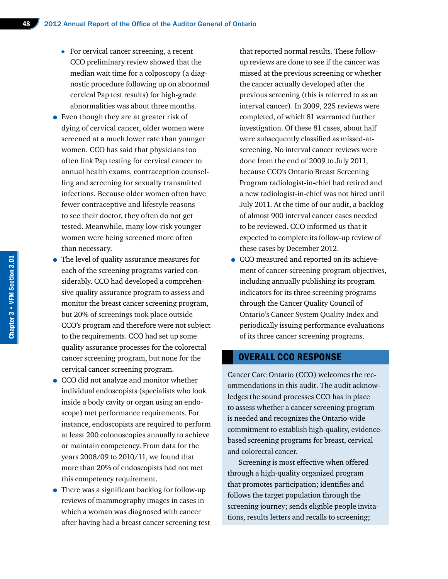- For cervical cancer screening, a recent CCO preliminary review showed that the median wait time for a colposcopy (a diagnostic procedure following up on abnormal cervical Pap test results) for high-grade abnormalities was about three months.
- Even though they are at greater risk of dying of cervical cancer, older women were screened at a much lower rate than younger women. CCO has said that physicians too often link Pap testing for cervical cancer to annual health exams, contraception counselling and screening for sexually transmitted infections. Because older women often have fewer contraceptive and lifestyle reasons to see their doctor, they often do not get tested. Meanwhile, many low-risk younger women were being screened more often than necessary.
- The level of quality assurance measures for each of the screening programs varied considerably. CCO had developed a comprehensive quality assurance program to assess and monitor the breast cancer screening program, but 20% of screenings took place outside CCO's program and therefore were not subject to the requirements. CCO had set up some quality assurance processes for the colorectal cancer screening program, but none for the cervical cancer screening program.
- CCO did not analyze and monitor whether individual endoscopists (specialists who look inside a body cavity or organ using an endoscope) met performance requirements. For instance, endoscopists are required to perform at least 200 colonoscopies annually to achieve or maintain competency. From data for the years 2008/09 to 2010/11, we found that more than 20% of endoscopists had not met this competency requirement.
- There was a significant backlog for follow-up reviews of mammography images in cases in which a woman was diagnosed with cancer after having had a breast cancer screening test

that reported normal results. These followup reviews are done to see if the cancer was missed at the previous screening or whether the cancer actually developed after the previous screening (this is referred to as an interval cancer). In 2009, 225 reviews were completed, of which 81 warranted further investigation. Of these 81 cases, about half were subsequently classified as missed-atscreening. No interval cancer reviews were done from the end of 2009 to July 2011, because CCO's Ontario Breast Screening Program radiologist-in-chief had retired and a new radiologist-in-chief was not hired until July 2011. At the time of our audit, a backlog of almost 900 interval cancer cases needed to be reviewed. CCO informed us that it expected to complete its follow-up review of these cases by December 2012.

• CCO measured and reported on its achievement of cancer-screening-program objectives, including annually publishing its program indicators for its three screening programs through the Cancer Quality Council of Ontario's Cancer System Quality Index and periodically issuing performance evaluations of its three cancer screening programs.

#### OVERALL CCO RESPONSE

Cancer Care Ontario (CCO) welcomes the recommendations in this audit. The audit acknowledges the sound processes CCO has in place to assess whether a cancer screening program is needed and recognizes the Ontario-wide commitment to establish high-quality, evidencebased screening programs for breast, cervical and colorectal cancer.

Screening is most effective when offered through a high-quality organized program that promotes participation; identifies and follows the target population through the screening journey; sends eligible people invitations, results letters and recalls to screening;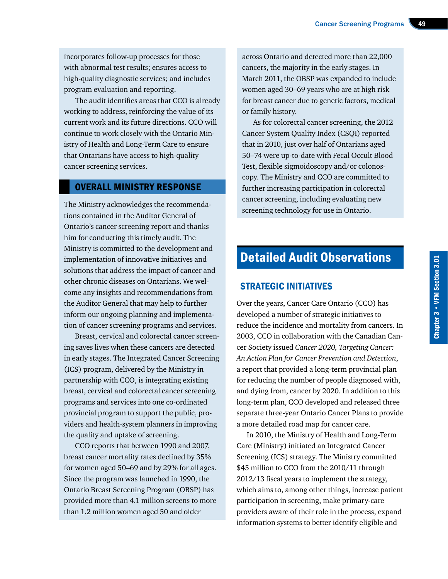incorporates follow-up processes for those with abnormal test results; ensures access to high-quality diagnostic services; and includes program evaluation and reporting.

The audit identifies areas that CCO is already working to address, reinforcing the value of its current work and its future directions. CCO will continue to work closely with the Ontario Ministry of Health and Long-Term Care to ensure that Ontarians have access to high-quality cancer screening services.

# OVERALL MINISTRY RESPONSE

The Ministry acknowledges the recommendations contained in the Auditor General of Ontario's cancer screening report and thanks him for conducting this timely audit. The Ministry is committed to the development and implementation of innovative initiatives and solutions that address the impact of cancer and other chronic diseases on Ontarians. We welcome any insights and recommendations from the Auditor General that may help to further inform our ongoing planning and implementation of cancer screening programs and services.

Breast, cervical and colorectal cancer screening saves lives when these cancers are detected in early stages. The Integrated Cancer Screening (ICS) program, delivered by the Ministry in partnership with CCO, is integrating existing breast, cervical and colorectal cancer screening programs and services into one co-ordinated provincial program to support the public, providers and health-system planners in improving the quality and uptake of screening.

CCO reports that between 1990 and 2007, breast cancer mortality rates declined by 35% for women aged 50–69 and by 29% for all ages. Since the program was launched in 1990, the Ontario Breast Screening Program (OBSP) has provided more than 4.1 million screens to more than 1.2 million women aged 50 and older

across Ontario and detected more than 22,000 cancers, the majority in the early stages. In March 2011, the OBSP was expanded to include women aged 30–69 years who are at high risk for breast cancer due to genetic factors, medical or family history.

As for colorectal cancer screening, the 2012 Cancer System Quality Index (CSQI) reported that in 2010, just over half of Ontarians aged 50–74 were up-to-date with Fecal Occult Blood Test, flexible sigmoidoscopy and/or colonoscopy. The Ministry and CCO are committed to further increasing participation in colorectal cancer screening, including evaluating new screening technology for use in Ontario.

# Detailed Audit Observations

# STRATEGIC INITIATIVES

Over the years, Cancer Care Ontario (CCO) has developed a number of strategic initiatives to reduce the incidence and mortality from cancers. In 2003, CCO in collaboration with the Canadian Cancer Society issued *Cancer 2020, Targeting Cancer: An Action Plan for Cancer Prevention and Detection*, a report that provided a long-term provincial plan for reducing the number of people diagnosed with, and dying from, cancer by 2020. In addition to this long-term plan, CCO developed and released three separate three-year Ontario Cancer Plans to provide a more detailed road map for cancer care.

In 2010, the Ministry of Health and Long-Term Care (Ministry) initiated an Integrated Cancer Screening (ICS) strategy. The Ministry committed \$45 million to CCO from the 2010/11 through 2012/13 fiscal years to implement the strategy, which aims to, among other things, increase patient participation in screening, make primary-care providers aware of their role in the process, expand information systems to better identify eligible and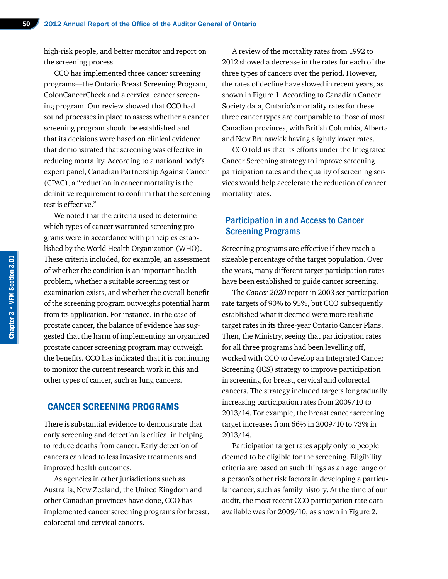high-risk people, and better monitor and report on the screening process.

CCO has implemented three cancer screening programs—the Ontario Breast Screening Program, ColonCancerCheck and a cervical cancer screening program. Our review showed that CCO had sound processes in place to assess whether a cancer screening program should be established and that its decisions were based on clinical evidence that demonstrated that screening was effective in reducing mortality. According to a national body's expert panel, Canadian Partnership Against Cancer (CPAC), a "reduction in cancer mortality is the definitive requirement to confirm that the screening test is effective."

We noted that the criteria used to determine which types of cancer warranted screening programs were in accordance with principles established by the World Health Organization (WHO). These criteria included, for example, an assessment of whether the condition is an important health problem, whether a suitable screening test or examination exists, and whether the overall benefit of the screening program outweighs potential harm from its application. For instance, in the case of prostate cancer, the balance of evidence has suggested that the harm of implementing an organized prostate cancer screening program may outweigh the benefits. CCO has indicated that it is continuing to monitor the current research work in this and other types of cancer, such as lung cancers.

# CANCER SCREENING PROGRAMS

There is substantial evidence to demonstrate that early screening and detection is critical in helping to reduce deaths from cancer. Early detection of cancers can lead to less invasive treatments and improved health outcomes.

As agencies in other jurisdictions such as Australia, New Zealand, the United Kingdom and other Canadian provinces have done, CCO has implemented cancer screening programs for breast, colorectal and cervical cancers.

A review of the mortality rates from 1992 to 2012 showed a decrease in the rates for each of the three types of cancers over the period. However, the rates of decline have slowed in recent years, as shown in Figure 1. According to Canadian Cancer Society data, Ontario's mortality rates for these three cancer types are comparable to those of most Canadian provinces, with British Columbia, Alberta and New Brunswick having slightly lower rates.

CCO told us that its efforts under the Integrated Cancer Screening strategy to improve screening participation rates and the quality of screening services would help accelerate the reduction of cancer mortality rates.

# Participation in and Access to Cancer Screening Programs

Screening programs are effective if they reach a sizeable percentage of the target population. Over the years, many different target participation rates have been established to guide cancer screening.

The *Cancer 2020* report in 2003 set participation rate targets of 90% to 95%, but CCO subsequently established what it deemed were more realistic target rates in its three-year Ontario Cancer Plans. Then, the Ministry, seeing that participation rates for all three programs had been levelling off, worked with CCO to develop an Integrated Cancer Screening (ICS) strategy to improve participation in screening for breast, cervical and colorectal cancers. The strategy included targets for gradually increasing participation rates from 2009/10 to 2013/14. For example, the breast cancer screening target increases from 66% in 2009/10 to 73% in 2013/14.

Participation target rates apply only to people deemed to be eligible for the screening. Eligibility criteria are based on such things as an age range or a person's other risk factors in developing a particular cancer, such as family history. At the time of our audit, the most recent CCO participation rate data available was for 2009/10, as shown in Figure 2.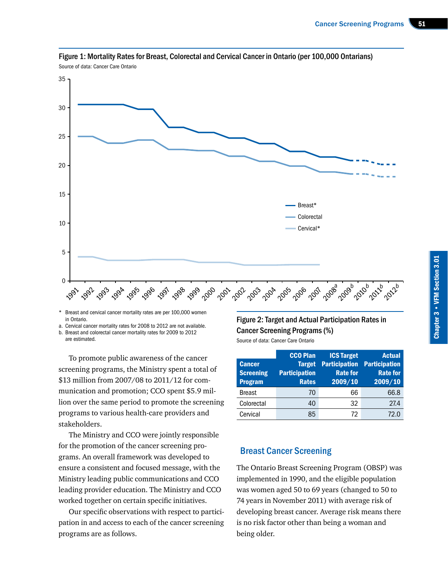

Figure 1: Mortality Rates for Breast, Colorectal and Cervical Cancer in Ontario (per 100,000 Ontarians) Source of data: Cancer Care Ontario

Breast and cervical cancer mortality rates are per 100,000 women in Ontario.

a. Cervical cancer mortality rates for 2008 to 2012 are not available.

b. Breast and colorectal cancer mortality rates for 2009 to 2012 are estimated.

To promote public awareness of the cancer screening programs, the Ministry spent a total of \$13 million from 2007/08 to 2011/12 for communication and promotion; CCO spent \$5.9 million over the same period to promote the screening programs to various health-care providers and stakeholders.

The Ministry and CCO were jointly responsible for the promotion of the cancer screening programs. An overall framework was developed to ensure a consistent and focused message, with the Ministry leading public communications and CCO leading provider education. The Ministry and CCO worked together on certain specific initiatives.

Our specific observations with respect to participation in and access to each of the cancer screening programs are as follows.

# Figure 2: Target and Actual Participation Rates in Cancer Screening Programs (%)

Source of data: Cancer Care Ontario

| <b>Cancer</b><br><b>Screening</b><br><b>Program</b> | <b>CCO Plan</b><br><b>Target</b><br><b>Participation</b><br><b>Rates</b> | <b>ICS Target</b><br><b>Participation</b><br><b>Rate for</b><br>2009/10 | <b>Actual</b><br><b>Participation</b><br><b>Rate for</b><br>2009/10 |
|-----------------------------------------------------|--------------------------------------------------------------------------|-------------------------------------------------------------------------|---------------------------------------------------------------------|
| <b>Breast</b>                                       | 70                                                                       | 66                                                                      | 66.8                                                                |
| Colorectal                                          | 40                                                                       | 32                                                                      | 27.4                                                                |
| Cervical                                            | 85                                                                       | 72                                                                      | 72 በ                                                                |

# Breast Cancer Screening

The Ontario Breast Screening Program (OBSP) was implemented in 1990, and the eligible population was women aged 50 to 69 years (changed to 50 to 74 years in November 2011) with average risk of developing breast cancer. Average risk means there is no risk factor other than being a woman and being older.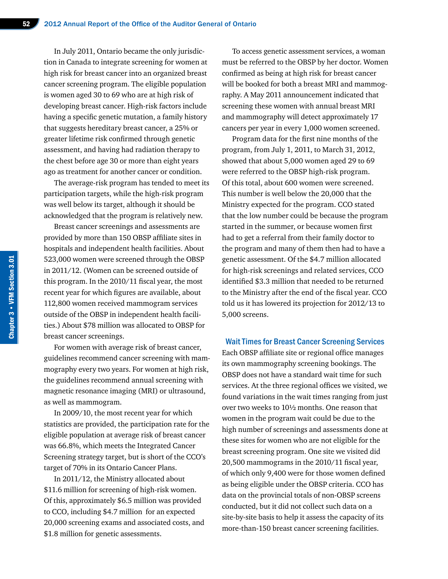In July 2011, Ontario became the only jurisdiction in Canada to integrate screening for women at high risk for breast cancer into an organized breast cancer screening program. The eligible population is women aged 30 to 69 who are at high risk of developing breast cancer. High-risk factors include having a specific genetic mutation, a family history that suggests hereditary breast cancer, a 25% or greater lifetime risk confirmed through genetic assessment, and having had radiation therapy to the chest before age 30 or more than eight years ago as treatment for another cancer or condition.

The average-risk program has tended to meet its participation targets, while the high-risk program was well below its target, although it should be acknowledged that the program is relatively new.

Breast cancer screenings and assessments are provided by more than 150 OBSP affiliate sites in hospitals and independent health facilities. About 523,000 women were screened through the OBSP in 2011/12. (Women can be screened outside of this program. In the 2010/11 fiscal year, the most recent year for which figures are available, about 112,800 women received mammogram services outside of the OBSP in independent health facilities.) About \$78 million was allocated to OBSP for breast cancer screenings.

For women with average risk of breast cancer, guidelines recommend cancer screening with mammography every two years. For women at high risk, the guidelines recommend annual screening with magnetic resonance imaging (MRI) or ultrasound, as well as mammogram.

In 2009/10, the most recent year for which statistics are provided, the participation rate for the eligible population at average risk of breast cancer was 66.8%, which meets the Integrated Cancer Screening strategy target, but is short of the CCO's target of 70% in its Ontario Cancer Plans.

In 2011/12, the Ministry allocated about \$11.6 million for screening of high-risk women. Of this, approximately \$6.5 million was provided to CCO, including \$4.7 million for an expected 20,000 screening exams and associated costs, and \$1.8 million for genetic assessments.

To access genetic assessment services, a woman must be referred to the OBSP by her doctor. Women confirmed as being at high risk for breast cancer will be booked for both a breast MRI and mammography. A May 2011 announcement indicated that screening these women with annual breast MRI and mammography will detect approximately 17 cancers per year in every 1,000 women screened.

Program data for the first nine months of the program, from July 1, 2011, to March 31, 2012, showed that about 5,000 women aged 29 to 69 were referred to the OBSP high-risk program. Of this total, about 600 women were screened. This number is well below the 20,000 that the Ministry expected for the program. CCO stated that the low number could be because the program started in the summer, or because women first had to get a referral from their family doctor to the program and many of them then had to have a genetic assessment. Of the \$4.7 million allocated for high-risk screenings and related services, CCO identified \$3.3 million that needed to be returned to the Ministry after the end of the fiscal year. CCO told us it has lowered its projection for 2012/13 to 5,000 screens.

Wait Times for Breast Cancer Screening Services Each OBSP affiliate site or regional office manages its own mammography screening bookings. The OBSP does not have a standard wait time for such services. At the three regional offices we visited, we found variations in the wait times ranging from just over two weeks to 10½ months. One reason that women in the program wait could be due to the high number of screenings and assessments done at these sites for women who are not eligible for the breast screening program. One site we visited did 20,500 mammograms in the 2010/11 fiscal year, of which only 9,400 were for those women defined as being eligible under the OBSP criteria. CCO has data on the provincial totals of non-OBSP screens conducted, but it did not collect such data on a site-by-site basis to help it assess the capacity of its more-than-150 breast cancer screening facilities.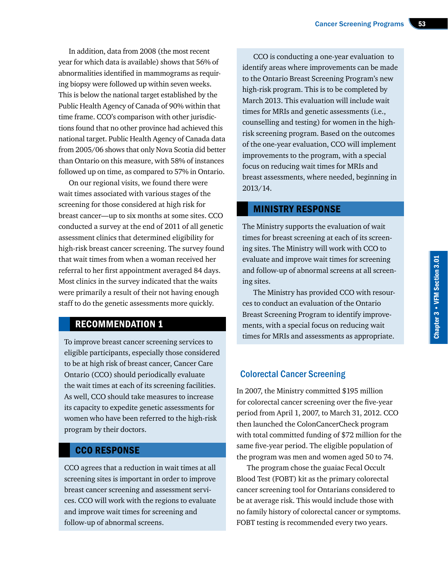In addition, data from 2008 (the most recent year for which data is available) shows that 56% of abnormalities identified in mammograms as requiring biopsy were followed up within seven weeks. This is below the national target established by the Public Health Agency of Canada of 90% within that time frame. CCO's comparison with other jurisdictions found that no other province had achieved this national target. Public Health Agency of Canada data from 2005/06 shows that only Nova Scotia did better than Ontario on this measure, with 58% of instances followed up on time, as compared to 57% in Ontario.

On our regional visits, we found there were wait times associated with various stages of the screening for those considered at high risk for breast cancer—up to six months at some sites. CCO conducted a survey at the end of 2011 of all genetic assessment clinics that determined eligibility for high-risk breast cancer screening. The survey found that wait times from when a woman received her referral to her first appointment averaged 84 days. Most clinics in the survey indicated that the waits were primarily a result of their not having enough staff to do the genetic assessments more quickly.

# RECOMMENDATION 1

To improve breast cancer screening services to eligible participants, especially those considered to be at high risk of breast cancer, Cancer Care Ontario (CCO) should periodically evaluate the wait times at each of its screening facilities. As well, CCO should take measures to increase its capacity to expedite genetic assessments for women who have been referred to the high-risk program by their doctors.

# CCO RESPONSE

CCO agrees that a reduction in wait times at all screening sites is important in order to improve breast cancer screening and assessment services. CCO will work with the regions to evaluate and improve wait times for screening and follow-up of abnormal screens.

CCO is conducting a one-year evaluation to identify areas where improvements can be made to the Ontario Breast Screening Program's new high-risk program. This is to be completed by March 2013. This evaluation will include wait times for MRIs and genetic assessments (i.e., counselling and testing) for women in the highrisk screening program. Based on the outcomes of the one-year evaluation, CCO will implement improvements to the program, with a special focus on reducing wait times for MRIs and breast assessments, where needed, beginning in 2013/14.

#### MINISTRY RESPONSE

The Ministry supports the evaluation of wait times for breast screening at each of its screening sites. The Ministry will work with CCO to evaluate and improve wait times for screening and follow-up of abnormal screens at all screening sites.

The Ministry has provided CCO with resources to conduct an evaluation of the Ontario Breast Screening Program to identify improvements, with a special focus on reducing wait times for MRIs and assessments as appropriate.

# Colorectal Cancer Screening

In 2007, the Ministry committed \$195 million for colorectal cancer screening over the five-year period from April 1, 2007, to March 31, 2012. CCO then launched the ColonCancerCheck program with total committed funding of \$72 million for the same five-year period. The eligible population of the program was men and women aged 50 to 74.

The program chose the guaiac Fecal Occult Blood Test (FOBT) kit as the primary colorectal cancer screening tool for Ontarians considered to be at average risk. This would include those with no family history of colorectal cancer or symptoms. FOBT testing is recommended every two years.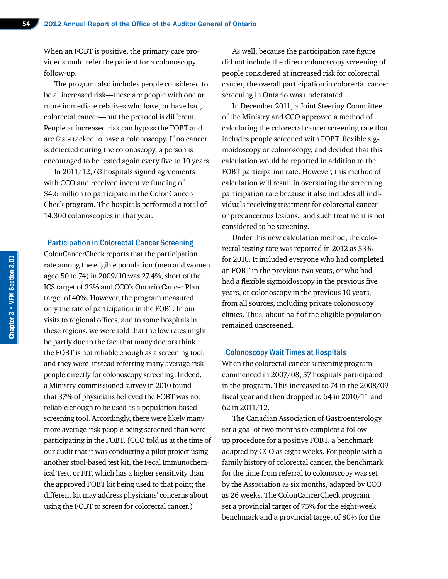When an FOBT is positive, the primary-care provider should refer the patient for a colonoscopy follow-up.

The program also includes people considered to be at increased risk—these are people with one or more immediate relatives who have, or have had, colorectal cancer—but the protocol is different. People at increased risk can bypass the FOBT and are fast-tracked to have a colonoscopy. If no cancer is detected during the colonoscopy, a person is encouraged to be tested again every five to 10 years.

In 2011/12, 63 hospitals signed agreements with CCO and received incentive funding of \$4.6 million to participate in the ColonCancer-Check program. The hospitals performed a total of 14,300 colonoscopies in that year.

#### Participation in Colorectal Cancer Screening

ColonCancerCheck reports that the participation rate among the eligible population (men and women aged 50 to 74) in 2009/10 was 27.4%, short of the ICS target of 32% and CCO's Ontario Cancer Plan target of 40%. However, the program measured only the rate of participation in the FOBT. In our visits to regional offices, and to some hospitals in these regions, we were told that the low rates might be partly due to the fact that many doctors think the FOBT is not reliable enough as a screening tool, and they were instead referring many average-risk people directly for colonoscopy screening. Indeed, a Ministry-commissioned survey in 2010 found that 37% of physicians believed the FOBT was not reliable enough to be used as a population-based screening tool. Accordingly, there were likely many more average-risk people being screened than were participating in the FOBT. (CCO told us at the time of our audit that it was conducting a pilot project using another stool-based test kit, the Fecal Immunochemical Test, or FIT, which has a higher sensitivity than the approved FOBT kit being used to that point; the different kit may address physicians' concerns about using the FOBT to screen for colorectal cancer.)

As well, because the participation rate figure did not include the direct colonoscopy screening of people considered at increased risk for colorectal cancer, the overall participation in colorectal cancer screening in Ontario was understated.

In December 2011, a Joint Steering Committee of the Ministry and CCO approved a method of calculating the colorectal cancer screening rate that includes people screened with FOBT, flexible sigmoidoscopy or colonoscopy, and decided that this calculation would be reported in addition to the FOBT participation rate. However, this method of calculation will result in overstating the screening participation rate because it also includes all individuals receiving treatment for colorectal cancer or precancerous lesions, and such treatment is not considered to be screening.

Under this new calculation method, the colorectal testing rate was reported in 2012 as 53% for 2010. It included everyone who had completed an FOBT in the previous two years, or who had had a flexible sigmoidoscopy in the previous five years, or colonoscopy in the previous 10 years, from all sources, including private colonoscopy clinics. Thus, about half of the eligible population remained unscreened.

#### Colonoscopy Wait Times at Hospitals

When the colorectal cancer screening program commenced in 2007/08, 57 hospitals participated in the program. This increased to 74 in the 2008/09 fiscal year and then dropped to 64 in 2010/11 and 62 in 2011/12.

The Canadian Association of Gastroenterology set a goal of two months to complete a followup procedure for a positive FOBT, a benchmark adapted by CCO as eight weeks. For people with a family history of colorectal cancer, the benchmark for the time from referral to colonoscopy was set by the Association as six months, adapted by CCO as 26 weeks. The ColonCancerCheck program set a provincial target of 75% for the eight-week benchmark and a provincial target of 80% for the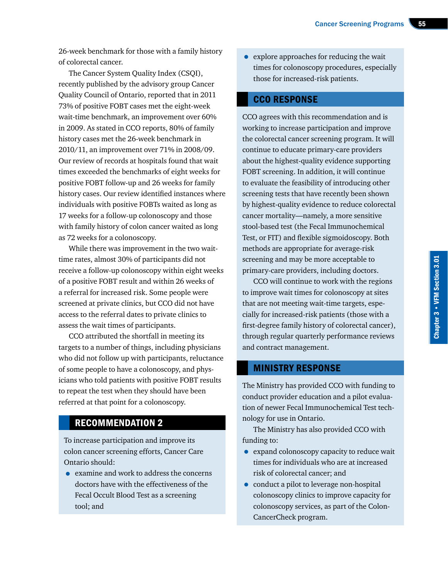26-week benchmark for those with a family history of colorectal cancer.

The Cancer System Quality Index (CSQI), recently published by the advisory group Cancer Quality Council of Ontario, reported that in 2011 73% of positive FOBT cases met the eight-week wait-time benchmark, an improvement over 60% in 2009. As stated in CCO reports, 80% of family history cases met the 26-week benchmark in 2010/11, an improvement over 71% in 2008/09. Our review of records at hospitals found that wait times exceeded the benchmarks of eight weeks for positive FOBT follow-up and 26 weeks for family history cases. Our review identified instances where individuals with positive FOBTs waited as long as 17 weeks for a follow-up colonoscopy and those with family history of colon cancer waited as long as 72 weeks for a colonoscopy.

While there was improvement in the two waittime rates, almost 30% of participants did not receive a follow-up colonoscopy within eight weeks of a positive FOBT result and within 26 weeks of a referral for increased risk. Some people were screened at private clinics, but CCO did not have access to the referral dates to private clinics to assess the wait times of participants.

CCO attributed the shortfall in meeting its targets to a number of things, including physicians who did not follow up with participants, reluctance of some people to have a colonoscopy, and physicians who told patients with positive FOBT results to repeat the test when they should have been referred at that point for a colonoscopy.

# RECOMMENDATION 2

To increase participation and improve its colon cancer screening efforts, Cancer Care Ontario should:

• examine and work to address the concerns doctors have with the effectiveness of the Fecal Occult Blood Test as a screening tool; and

• explore approaches for reducing the wait times for colonoscopy procedures, especially those for increased-risk patients.

# CCO RESPONSE

CCO agrees with this recommendation and is working to increase participation and improve the colorectal cancer screening program. It will continue to educate primary-care providers about the highest-quality evidence supporting FOBT screening. In addition, it will continue to evaluate the feasibility of introducing other screening tests that have recently been shown by highest-quality evidence to reduce colorectal cancer mortality—namely, a more sensitive stool-based test (the Fecal Immunochemical Test, or FIT) and flexible sigmoidoscopy. Both methods are appropriate for average-risk screening and may be more acceptable to primary-care providers, including doctors.

CCO will continue to work with the regions to improve wait times for colonoscopy at sites that are not meeting wait-time targets, especially for increased-risk patients (those with a first-degree family history of colorectal cancer), through regular quarterly performance reviews and contract management.

# MINISTRY RESPONSE

The Ministry has provided CCO with funding to conduct provider education and a pilot evaluation of newer Fecal Immunochemical Test technology for use in Ontario.

The Ministry has also provided CCO with funding to:

- expand colonoscopy capacity to reduce wait times for individuals who are at increased risk of colorectal cancer; and
- conduct a pilot to leverage non-hospital colonoscopy clinics to improve capacity for colonoscopy services, as part of the Colon-CancerCheck program.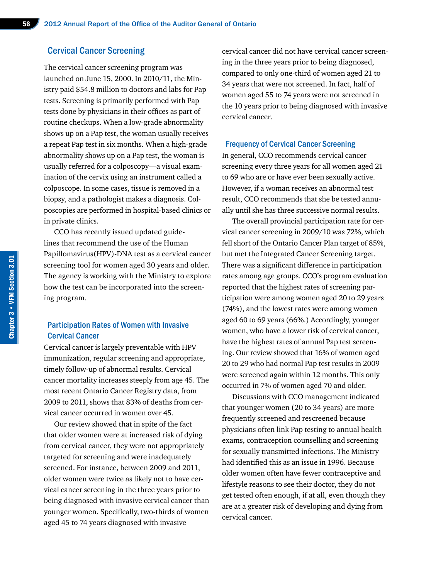#### Cervical Cancer Screening

The cervical cancer screening program was launched on June 15, 2000. In 2010/11, the Ministry paid \$54.8 million to doctors and labs for Pap tests. Screening is primarily performed with Pap tests done by physicians in their offices as part of routine checkups. When a low-grade abnormality shows up on a Pap test, the woman usually receives a repeat Pap test in six months. When a high-grade abnormality shows up on a Pap test, the woman is usually referred for a colposcopy—a visual examination of the cervix using an instrument called a colposcope. In some cases, tissue is removed in a biopsy, and a pathologist makes a diagnosis. Colposcopies are performed in hospital-based clinics or in private clinics.

CCO has recently issued updated guidelines that recommend the use of the Human Papillomavirus(HPV)-DNA test as a cervical cancer screening tool for women aged 30 years and older. The agency is working with the Ministry to explore how the test can be incorporated into the screening program.

## Participation Rates of Women with Invasive Cervical Cancer

Cervical cancer is largely preventable with HPV immunization, regular screening and appropriate, timely follow-up of abnormal results. Cervical cancer mortality increases steeply from age 45. The most recent Ontario Cancer Registry data, from 2009 to 2011, shows that 83% of deaths from cervical cancer occurred in women over 45.

Our review showed that in spite of the fact that older women were at increased risk of dying from cervical cancer, they were not appropriately targeted for screening and were inadequately screened. For instance, between 2009 and 2011, older women were twice as likely not to have cervical cancer screening in the three years prior to being diagnosed with invasive cervical cancer than younger women. Specifically, two-thirds of women aged 45 to 74 years diagnosed with invasive

cervical cancer did not have cervical cancer screening in the three years prior to being diagnosed, compared to only one-third of women aged 21 to 34 years that were not screened. In fact, half of women aged 55 to 74 years were not screened in the 10 years prior to being diagnosed with invasive cervical cancer.

#### Frequency of Cervical Cancer Screening

In general, CCO recommends cervical cancer screening every three years for all women aged 21 to 69 who are or have ever been sexually active. However, if a woman receives an abnormal test result, CCO recommends that she be tested annually until she has three successive normal results.

The overall provincial participation rate for cervical cancer screening in 2009/10 was 72%, which fell short of the Ontario Cancer Plan target of 85%, but met the Integrated Cancer Screening target. There was a significant difference in participation rates among age groups. CCO's program evaluation reported that the highest rates of screening participation were among women aged 20 to 29 years (74%), and the lowest rates were among women aged 60 to 69 years (66%.) Accordingly, younger women, who have a lower risk of cervical cancer, have the highest rates of annual Pap test screening. Our review showed that 16% of women aged 20 to 29 who had normal Pap test results in 2009 were screened again within 12 months. This only occurred in 7% of women aged 70 and older.

Discussions with CCO management indicated that younger women (20 to 34 years) are more frequently screened and rescreened because physicians often link Pap testing to annual health exams, contraception counselling and screening for sexually transmitted infections. The Ministry had identified this as an issue in 1996. Because older women often have fewer contraceptive and lifestyle reasons to see their doctor, they do not get tested often enough, if at all, even though they are at a greater risk of developing and dying from cervical cancer.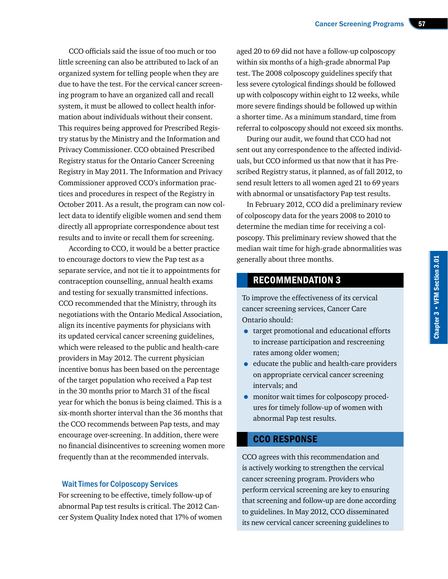CCO officials said the issue of too much or too little screening can also be attributed to lack of an organized system for telling people when they are due to have the test. For the cervical cancer screening program to have an organized call and recall system, it must be allowed to collect health information about individuals without their consent. This requires being approved for Prescribed Registry status by the Ministry and the Information and Privacy Commissioner. CCO obtained Prescribed Registry status for the Ontario Cancer Screening Registry in May 2011. The Information and Privacy Commissioner approved CCO's information practices and procedures in respect of the Registry in October 2011. As a result, the program can now collect data to identify eligible women and send them directly all appropriate correspondence about test results and to invite or recall them for screening.

According to CCO, it would be a better practice to encourage doctors to view the Pap test as a separate service, and not tie it to appointments for contraception counselling, annual health exams and testing for sexually transmitted infections. CCO recommended that the Ministry, through its negotiations with the Ontario Medical Association, align its incentive payments for physicians with its updated cervical cancer screening guidelines, which were released to the public and health-care providers in May 2012. The current physician incentive bonus has been based on the percentage of the target population who received a Pap test in the 30 months prior to March 31 of the fiscal year for which the bonus is being claimed. This is a six-month shorter interval than the 36 months that the CCO recommends between Pap tests, and may encourage over-screening. In addition, there were no financial disincentives to screening women more frequently than at the recommended intervals.

#### Wait Times for Colposcopy Services

For screening to be effective, timely follow-up of abnormal Pap test results is critical. The 2012 Cancer System Quality Index noted that 17% of women

aged 20 to 69 did not have a follow-up colposcopy within six months of a high-grade abnormal Pap test. The 2008 colposcopy guidelines specify that less severe cytological findings should be followed up with colposcopy within eight to 12 weeks, while more severe findings should be followed up within a shorter time. As a minimum standard, time from referral to colposcopy should not exceed six months.

During our audit, we found that CCO had not sent out any correspondence to the affected individuals, but CCO informed us that now that it has Prescribed Registry status, it planned, as of fall 2012, to send result letters to all women aged 21 to 69 years with abnormal or unsatisfactory Pap test results.

In February 2012, CCO did a preliminary review of colposcopy data for the years 2008 to 2010 to determine the median time for receiving a colposcopy. This preliminary review showed that the median wait time for high-grade abnormalities was generally about three months.

# RECOMMENDATION 3

To improve the effectiveness of its cervical cancer screening services, Cancer Care Ontario should:

- target promotional and educational efforts to increase participation and rescreening rates among older women;
- educate the public and health-care providers on appropriate cervical cancer screening intervals; and
- monitor wait times for colposcopy procedures for timely follow-up of women with abnormal Pap test results.

# CCO RESPONSE

CCO agrees with this recommendation and is actively working to strengthen the cervical cancer screening program. Providers who perform cervical screening are key to ensuring that screening and follow-up are done according to guidelines. In May 2012, CCO disseminated its new cervical cancer screening guidelines to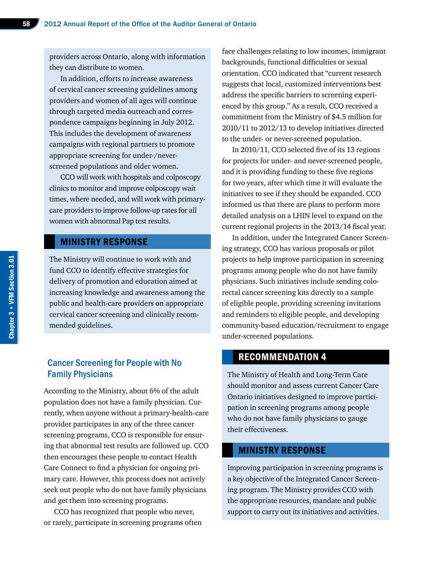providers across Ontario, along with information they can distribute to women.

In addition, efforts to increase awareness of cervical cancer screening guidelines among providers and women of all ages will continue through targeted media outreach and correspondence campaigns beginning in July 2012. This includes the development of awareness campaigns with regional partners to promote appropriate screening for under-/neverscreened populations and older women.

CCO will work with hospitals and colposcopy clinics to monitor and improve colposcopy wait times, where needed, and will work with primarycare providers to improve follow-up rates for all women with abnormal Pap test results.

# MINISTRY RESPONSE

The Ministry will continue to work with and fund CCO to identify effective strategies for delivery of promotion and education aimed at increasing knowledge and awareness among the public and health-care providers on appropriate cervical cancer screening and clinically recommended guidelines.

# Cancer Screening for People with No Family Physicians

According to the Ministry, about 6% of the adult population does not have a family physician. Currently, when anyone without a primary-health-care provider participates in any of the three cancer screening programs, CCO is responsible for ensuring that abnormal test results are followed up. CCO then encourages these people to contact Health Care Connect to find a physician for ongoing primary care. However, this process does not actively seek out people who do not have family physicians and get them into screening programs.

CCO has recognized that people who never, or rarely, participate in screening programs often face challenges relating to low incomes, immigrant backgrounds, functional difficulties or sexual orientation. CCO indicated that "current research suggests that local, customized interventions best address the specific barriers to screening experienced by this group." As a result, CCO received a commitment from the Ministry of \$4.5 million for 2010/11 to 2012/13 to develop initiatives directed to the under- or never-screened population.

In 2010/11, CCO selected five of its 13 regions for projects for under- and never-screened people, and it is providing funding to these five regions for two years, after which time it will evaluate the initiatives to see if they should be expanded. CCO informed us that there are plans to perform more detailed analysis on a LHIN level to expand on the current regional projects in the 2013/14 fiscal year.

In addition, under the Integrated Cancer Screening strategy, CCO has various proposals or pilot projects to help improve participation in screening programs among people who do not have family physicians. Such initiatives include sending colorectal cancer screening kits directly to a sample of eligible people, providing screening invitations and reminders to eligible people, and developing community-based education/recruitment to engage under-screened populations.

# RECOMMENDATION 4

The Ministry of Health and Long-Term Care should monitor and assess current Cancer Care Ontario initiatives designed to improve participation in screening programs among people who do not have family physicians to gauge their effectiveness.

#### MINISTRY RESPONSE

Improving participation in screening programs is a key objective of the Integrated Cancer Screening program. The Ministry provides CCO with the appropriate resources, mandate and public support to carry out its initiatives and activities.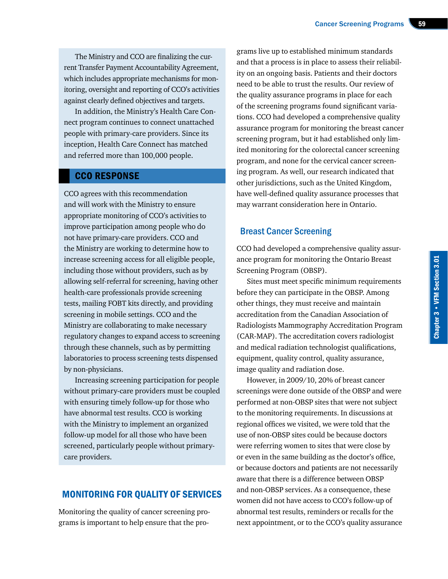The Ministry and CCO are finalizing the current Transfer Payment Accountability Agreement, which includes appropriate mechanisms for monitoring, oversight and reporting of CCO's activities against clearly defined objectives and targets.

In addition, the Ministry's Health Care Connect program continues to connect unattached people with primary-care providers. Since its inception, Health Care Connect has matched and referred more than 100,000 people.

## CCO RESPONSE

CCO agrees with this recommendation and will work with the Ministry to ensure appropriate monitoring of CCO's activities to improve participation among people who do not have primary-care providers. CCO and the Ministry are working to determine how to increase screening access for all eligible people, including those without providers, such as by allowing self-referral for screening, having other health-care professionals provide screening tests, mailing FOBT kits directly, and providing screening in mobile settings. CCO and the Ministry are collaborating to make necessary regulatory changes to expand access to screening through these channels, such as by permitting laboratories to process screening tests dispensed by non-physicians.

Increasing screening participation for people without primary-care providers must be coupled with ensuring timely follow-up for those who have abnormal test results. CCO is working with the Ministry to implement an organized follow-up model for all those who have been screened, particularly people without primarycare providers.

## MONITORING FOR QUALITY OF SERVICES

Monitoring the quality of cancer screening programs is important to help ensure that the pro-

grams live up to established minimum standards and that a process is in place to assess their reliability on an ongoing basis. Patients and their doctors need to be able to trust the results. Our review of the quality assurance programs in place for each of the screening programs found significant variations. CCO had developed a comprehensive quality assurance program for monitoring the breast cancer screening program, but it had established only limited monitoring for the colorectal cancer screening program, and none for the cervical cancer screening program. As well, our research indicated that other jurisdictions, such as the United Kingdom, have well-defined quality assurance processes that may warrant consideration here in Ontario.

# Breast Cancer Screening

CCO had developed a comprehensive quality assurance program for monitoring the Ontario Breast Screening Program (OBSP).

Sites must meet specific minimum requirements before they can participate in the OBSP. Among other things, they must receive and maintain accreditation from the Canadian Association of Radiologists Mammography Accreditation Program (CAR-MAP). The accreditation covers radiologist and medical radiation technologist qualifications, equipment, quality control, quality assurance, image quality and radiation dose.

However, in 2009/10, 20% of breast cancer screenings were done outside of the OBSP and were performed at non-OBSP sites that were not subject to the monitoring requirements. In discussions at regional offices we visited, we were told that the use of non-OBSP sites could be because doctors were referring women to sites that were close by or even in the same building as the doctor's office, or because doctors and patients are not necessarily aware that there is a difference between OBSP and non-OBSP services. As a consequence, these women did not have access to CCO's follow-up of abnormal test results, reminders or recalls for the next appointment, or to the CCO's quality assurance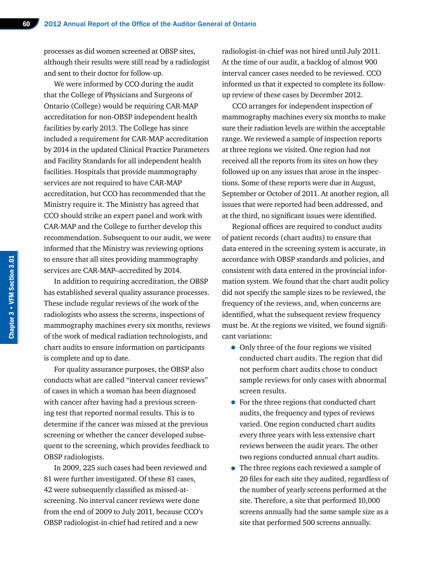processes as did women screened at OBSP sites, although their results were still read by a radiologist and sent to their doctor for follow-up.

We were informed by CCO during the audit that the College of Physicians and Surgeons of Ontario (College) would be requiring CAR-MAP accreditation for non-OBSP independent health facilities by early 2013. The College has since included a requirement for CAR-MAP accreditation by 2014 in the updated Clinical Practice Parameters and Facility Standards for all independent health facilities. Hospitals that provide mammography services are not required to have CAR-MAP accreditation, but CCO has recommended that the Ministry require it. The Ministry has agreed that CCO should strike an expert panel and work with CAR-MAP and the College to further develop this recommendation. Subsequent to our audit, we were informed that the Ministry was reviewing options to ensure that all sites providing mammography services are CAR-MAP–accredited by 2014.

In addition to requiring accreditation, the OBSP has established several quality assurance processes. These include regular reviews of the work of the radiologists who assess the screens, inspections of mammography machines every six months, reviews of the work of medical radiation technologists, and chart audits to ensure information on participants is complete and up to date.

For quality assurance purposes, the OBSP also conducts what are called "interval cancer reviews" of cases in which a woman has been diagnosed with cancer after having had a previous screening test that reported normal results. This is to determine if the cancer was missed at the previous screening or whether the cancer developed subsequent to the screening, which provides feedback to OBSP radiologists.

In 2009, 225 such cases had been reviewed and 81 were further investigated. Of these 81 cases, 42 were subsequently classified as missed-atscreening. No interval cancer reviews were done from the end of 2009 to July 2011, because CCO's OBSP radiologist-in-chief had retired and a new

radiologist-in-chief was not hired until July 2011. At the time of our audit, a backlog of almost 900 interval cancer cases needed to be reviewed. CCO informed us that it expected to complete its followup review of these cases by December 2012.

CCO arranges for independent inspection of mammography machines every six months to make sure their radiation levels are within the acceptable range. We reviewed a sample of inspection reports at three regions we visited. One region had not received all the reports from its sites on how they followed up on any issues that arose in the inspections. Some of these reports were due in August, September or October of 2011. At another region, all issues that were reported had been addressed, and at the third, no significant issues were identified.

Regional offices are required to conduct audits of patient records (chart audits) to ensure that data entered in the screening system is accurate, in accordance with OBSP standards and policies, and consistent with data entered in the provincial information system. We found that the chart audit policy did not specify the sample sizes to be reviewed, the frequency of the reviews, and, when concerns are identified, what the subsequent review frequency must be. At the regions we visited, we found significant variations:

- Only three of the four regions we visited conducted chart audits. The region that did not perform chart audits chose to conduct sample reviews for only cases with abnormal screen results.
- For the three regions that conducted chart audits, the frequency and types of reviews varied. One region conducted chart audits every three years with less extensive chart reviews between the audit years. The other two regions conducted annual chart audits.
- The three regions each reviewed a sample of 20 files for each site they audited, regardless of the number of yearly screens performed at the site. Therefore, a site that performed 10,000 screens annually had the same sample size as a site that performed 500 screens annually.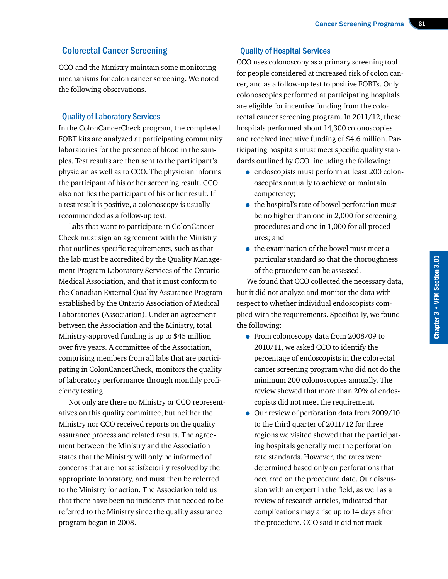# Colorectal Cancer Screening

CCO and the Ministry maintain some monitoring mechanisms for colon cancer screening. We noted the following observations.

### Quality of Laboratory Services

In the ColonCancerCheck program, the completed FOBT kits are analyzed at participating community laboratories for the presence of blood in the samples. Test results are then sent to the participant's physician as well as to CCO. The physician informs the participant of his or her screening result. CCO also notifies the participant of his or her result. If a test result is positive, a colonoscopy is usually recommended as a follow-up test.

Labs that want to participate in ColonCancer-Check must sign an agreement with the Ministry that outlines specific requirements, such as that the lab must be accredited by the Quality Management Program Laboratory Services of the Ontario Medical Association, and that it must conform to the Canadian External Quality Assurance Program established by the Ontario Association of Medical Laboratories (Association). Under an agreement between the Association and the Ministry, total Ministry-approved funding is up to \$45 million over five years. A committee of the Association, comprising members from all labs that are participating in ColonCancerCheck, monitors the quality of laboratory performance through monthly proficiency testing.

Not only are there no Ministry or CCO representatives on this quality committee, but neither the Ministry nor CCO received reports on the quality assurance process and related results. The agreement between the Ministry and the Association states that the Ministry will only be informed of concerns that are not satisfactorily resolved by the appropriate laboratory, and must then be referred to the Ministry for action. The Association told us that there have been no incidents that needed to be referred to the Ministry since the quality assurance program began in 2008.

# Quality of Hospital Services

CCO uses colonoscopy as a primary screening tool for people considered at increased risk of colon cancer, and as a follow-up test to positive FOBTs. Only colonoscopies performed at participating hospitals are eligible for incentive funding from the colorectal cancer screening program. In 2011/12, these hospitals performed about 14,300 colonoscopies and received incentive funding of \$4.6 million. Participating hospitals must meet specific quality standards outlined by CCO, including the following:

- endoscopists must perform at least 200 colonoscopies annually to achieve or maintain competency;
- the hospital's rate of bowel perforation must be no higher than one in 2,000 for screening procedures and one in 1,000 for all procedures; and
- the examination of the bowel must meet a particular standard so that the thoroughness of the procedure can be assessed.

We found that CCO collected the necessary data, but it did not analyze and monitor the data with respect to whether individual endoscopists complied with the requirements. Specifically, we found the following:

- From colonoscopy data from 2008/09 to 2010/11, we asked CCO to identify the percentage of endoscopists in the colorectal cancer screening program who did not do the minimum 200 colonoscopies annually. The review showed that more than 20% of endoscopists did not meet the requirement.
- Our review of perforation data from 2009/10 to the third quarter of 2011/12 for three regions we visited showed that the participating hospitals generally met the perforation rate standards. However, the rates were determined based only on perforations that occurred on the procedure date. Our discussion with an expert in the field, as well as a review of research articles, indicated that complications may arise up to 14 days after the procedure. CCO said it did not track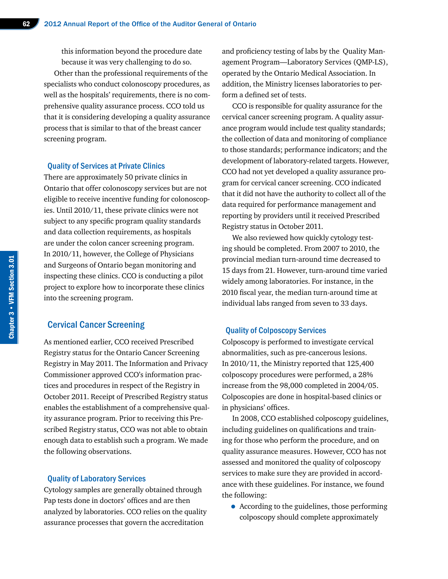this information beyond the procedure date because it was very challenging to do so.

Other than the professional requirements of the specialists who conduct colonoscopy procedures, as well as the hospitals' requirements, there is no comprehensive quality assurance process. CCO told us that it is considering developing a quality assurance process that is similar to that of the breast cancer screening program.

#### Quality of Services at Private Clinics

There are approximately 50 private clinics in Ontario that offer colonoscopy services but are not eligible to receive incentive funding for colonoscopies. Until 2010/11, these private clinics were not subject to any specific program quality standards and data collection requirements, as hospitals are under the colon cancer screening program. In 2010/11, however, the College of Physicians and Surgeons of Ontario began monitoring and inspecting these clinics. CCO is conducting a pilot project to explore how to incorporate these clinics into the screening program.

### Cervical Cancer Screening

As mentioned earlier, CCO received Prescribed Registry status for the Ontario Cancer Screening Registry in May 2011. The Information and Privacy Commissioner approved CCO's information practices and procedures in respect of the Registry in October 2011. Receipt of Prescribed Registry status enables the establishment of a comprehensive quality assurance program. Prior to receiving this Prescribed Registry status, CCO was not able to obtain enough data to establish such a program. We made the following observations.

#### Quality of Laboratory Services

Cytology samples are generally obtained through Pap tests done in doctors' offices and are then analyzed by laboratories. CCO relies on the quality assurance processes that govern the accreditation

and proficiency testing of labs by the Quality Management Program—Laboratory Services (QMP-LS), operated by the Ontario Medical Association. In addition, the Ministry licenses laboratories to perform a defined set of tests.

CCO is responsible for quality assurance for the cervical cancer screening program. A quality assurance program would include test quality standards; the collection of data and monitoring of compliance to those standards; performance indicators; and the development of laboratory-related targets. However, CCO had not yet developed a quality assurance program for cervical cancer screening. CCO indicated that it did not have the authority to collect all of the data required for performance management and reporting by providers until it received Prescribed Registry status in October 2011.

We also reviewed how quickly cytology testing should be completed. From 2007 to 2010, the provincial median turn-around time decreased to 15 days from 21. However, turn-around time varied widely among laboratories. For instance, in the 2010 fiscal year, the median turn-around time at individual labs ranged from seven to 33 days.

#### Quality of Colposcopy Services

Colposcopy is performed to investigate cervical abnormalities, such as pre-cancerous lesions. In 2010/11, the Ministry reported that 125,400 colposcopy procedures were performed, a 28% increase from the 98,000 completed in 2004/05. Colposcopies are done in hospital-based clinics or in physicians' offices.

In 2008, CCO established colposcopy guidelines, including guidelines on qualifications and training for those who perform the procedure, and on quality assurance measures. However, CCO has not assessed and monitored the quality of colposcopy services to make sure they are provided in accordance with these guidelines. For instance, we found the following:

• According to the guidelines, those performing colposcopy should complete approximately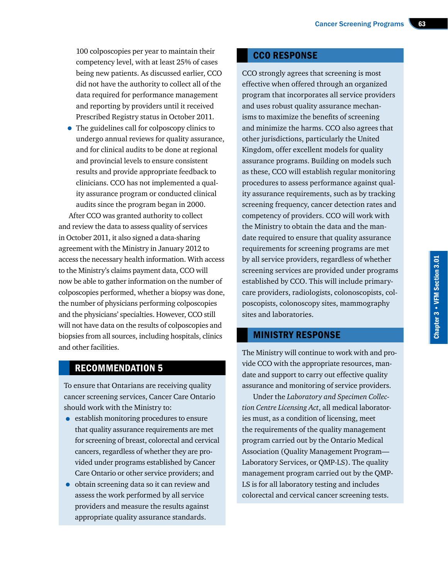100 colposcopies per year to maintain their competency level, with at least 25% of cases being new patients. As discussed earlier, CCO did not have the authority to collect all of the data required for performance management and reporting by providers until it received Prescribed Registry status in October 2011.

• The guidelines call for colposcopy clinics to undergo annual reviews for quality assurance, and for clinical audits to be done at regional and provincial levels to ensure consistent results and provide appropriate feedback to clinicians. CCO has not implemented a quality assurance program or conducted clinical audits since the program began in 2000.

After CCO was granted authority to collect and review the data to assess quality of services in October 2011, it also signed a data-sharing agreement with the Ministry in January 2012 to access the necessary health information. With access to the Ministry's claims payment data, CCO will now be able to gather information on the number of colposcopies performed, whether a biopsy was done, the number of physicians performing colposcopies and the physicians' specialties. However, CCO still will not have data on the results of colposcopies and biopsies from all sources, including hospitals, clinics and other facilities.

# RECOMMENDATION 5

To ensure that Ontarians are receiving quality cancer screening services, Cancer Care Ontario should work with the Ministry to:

- establish monitoring procedures to ensure that quality assurance requirements are met for screening of breast, colorectal and cervical cancers, regardless of whether they are provided under programs established by Cancer Care Ontario or other service providers; and
- obtain screening data so it can review and assess the work performed by all service providers and measure the results against appropriate quality assurance standards.

# CCO RESPONSE

CCO strongly agrees that screening is most effective when offered through an organized program that incorporates all service providers and uses robust quality assurance mechanisms to maximize the benefits of screening and minimize the harms. CCO also agrees that other jurisdictions, particularly the United Kingdom, offer excellent models for quality assurance programs. Building on models such as these, CCO will establish regular monitoring procedures to assess performance against quality assurance requirements, such as by tracking screening frequency, cancer detection rates and competency of providers. CCO will work with the Ministry to obtain the data and the mandate required to ensure that quality assurance requirements for screening programs are met by all service providers, regardless of whether screening services are provided under programs established by CCO. This will include primarycare providers, radiologists, colonoscopists, colposcopists, colonoscopy sites, mammography sites and laboratories.

# MINISTRY RESPONSE

The Ministry will continue to work with and provide CCO with the appropriate resources, mandate and support to carry out effective quality assurance and monitoring of service providers.

Under the *Laboratory and Specimen Collection Centre Licensing Act*, all medical laboratories must, as a condition of licensing, meet the requirements of the quality management program carried out by the Ontario Medical Association (Quality Management Program— Laboratory Services, or QMP-LS). The quality management program carried out by the QMP-LS is for all laboratory testing and includes colorectal and cervical cancer screening tests.